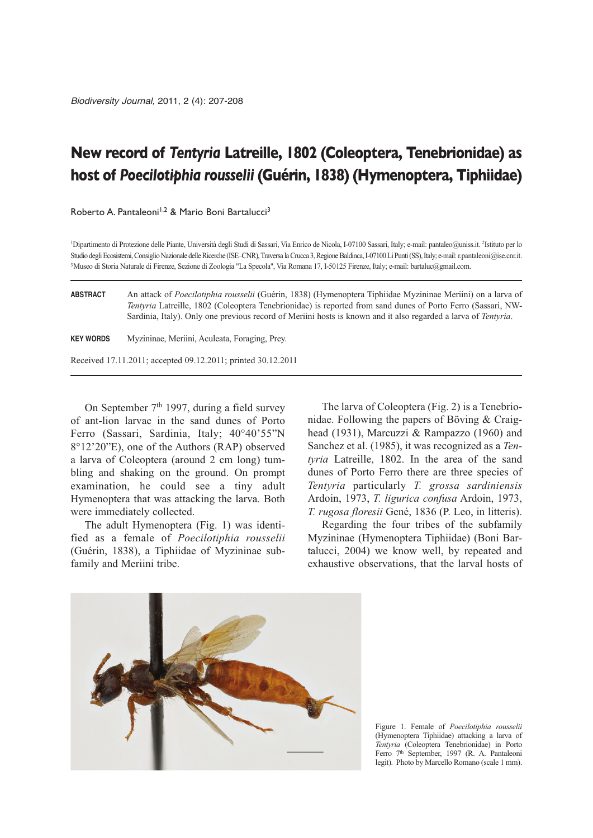## **New record of** *Tentyria* **Latreille, 1802 (Coleoptera, Tenebrionidae) as host of** *Poecilotiphia rousselii* **(Guérin, 1838) (Hymenoptera, Tiphiidae)**

Roberto A. Pantaleoni<sup>1,2</sup> & Mario Boni Bartalucci<sup>3</sup>

<sup>1</sup>Dipartimento di Protezione delle Piante, Università degli Studi di Sassari, Via Enrico de Nicola, I-07100 Sassari, Italy; e-mail: pantaleo@uniss.it. <sup>2</sup>Istituto per lo Studio degli Ecosistemi, Consiglio Nazionale delle Ricerche (ISE–CNR), Traversa la Crucca 3, Regione Baldinca, I-07100 Li Punti (SS), Italy; e-mail: r.pantaleoni@ise.cnr.it. 3Museo di Storia Naturale di Firenze, Sezione di Zoologia "La Specola", Via Romana 17, I-50125 Firenze, Italy; e-mail: bartaluc@gmail.com.

**ABSTRACT** An attack of *Poecilotiphia rousselii* (Guérin, 1838) (Hymenoptera Tiphiidae Myzininae Meriini) on a larva of *Tentyria* Latreille, 1802 (Coleoptera Tenebrionidae) is reported from sand dunes of Porto Ferro (Sassari, NW-Sardinia, Italy). Only one previous record of Meriini hosts is known and it also regarded a larva of *Tentyria*.

**KEY WORDS** Myzininae, Meriini, Aculeata, Foraging, Prey.

Received 17.11.2011; accepted 09.12.2011; printed 30.12.2011

On September  $7<sup>th</sup>$  1997, during a field survey of ant-lion larvae in the sand dunes of Porto Ferro (Sassari, Sardinia, Italy; 40°40'55"N 8°12'20"E), one of the Authors (RAP) observed a larva of Coleoptera (around 2 cm long) tumbling and shaking on the ground. On prompt examination, he could see a tiny adult Hymenoptera that was attacking the larva. Both were immediately collected.

The adult Hymenoptera (Fig. 1) was identified as a female of *Poecilotiphia rousselii* (Guérin, 1838), a Tiphiidae of Myzininae subfamily and Meriini tribe.

The larva of Coleoptera (Fig. 2) is a Tenebrio nidae. Following the papers of Böving & Craighead (1931), Marcuzzi & Rampazzo (1960) and Sanchez et al. (1985), it was recognized as a *Tentyria* Latreille, 1802. In the area of the sand dunes of Porto Ferro there are three species of *Tentyria* particularly *T. grossa sardiniensis* Ardoin, 1973, *T. ligurica confusa* Ardoin, 1973, *T. rugosa floresii* Gené, 1836 (P. Leo, in litteris).

Regarding the four tribes of the subfamily Myzininae (Hymenoptera Tiphiidae) (Boni Bartalucci, 2004) we know well, by repeated and exhaustive observations, that the larval hosts of



Figure 1. Female of *Poecilotiphia rousselii* (Hymenoptera Tiphiidae) attacking a larva of *Tentyria* (Coleoptera Tenebrionidae) in Porto Ferro 7<sup>th</sup> September, 1997 (R. A. Pantaleoni legit). Photo by Marcello Romano (scale 1 mm).